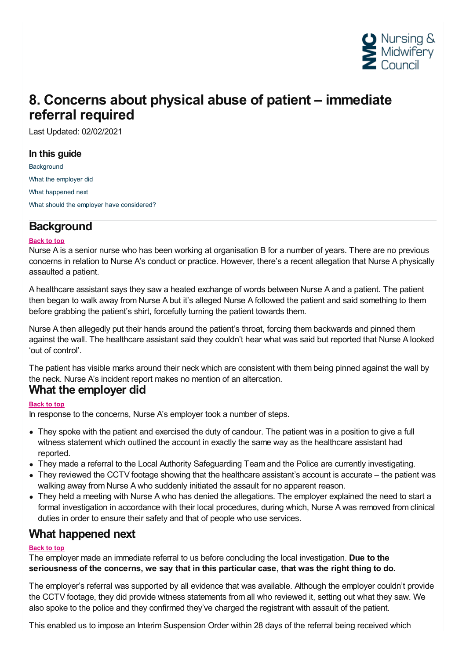

# **8. Concerns about physical abuse of patient – immediate referral required**

Last Updated: 02/02/2021

#### **In this guide**

**[Background](#page-0-0)** What the [employer](#page-0-1) did What [happened](#page-0-2) next What should the employer have [considered?](#page-1-0)

## <span id="page-0-0"></span>**Background**

#### **Back to top**

Nurse A is a senior nurse who has been working at organisation B for a number of years. There are no previous concerns in relation to Nurse A's conduct or practice. However, there's a recent allegation that Nurse A physically assaulted a patient.

A healthcare assistant says they saw a heated exchange of words between Nurse A and a patient. The patient then began to walk away from Nurse A but it's alleged Nurse A followed the patient and said something to them before grabbing the patient's shirt, forcefully turning the patient towards them.

Nurse A then allegedly put their hands around the patient's throat, forcing them backwards and pinned them against the wall. The healthcare assistant said they couldn't hear what was said but reported that Nurse A looked 'out of control'.

The patient has visible marks around their neck which are consistent with them being pinned against the wall by the neck. Nurse A's incident report makes no mention of an altercation. **What the employer did**

#### <span id="page-0-1"></span>**Back to top**

In response to the concerns, Nurse A's employer took a number of steps.

- They spoke with the patient and exercised the duty of candour. The patient was in a position to give a full witness statement which outlined the account in exactly the same way as the healthcare assistant had reported.
- They made a referral to the Local Authority Safeguarding Team and the Police are currently investigating.
- They reviewed the CCTV footage showing that the healthcare assistant's account is accurate the patient was walking away from Nurse A who suddenly initiated the assault for no apparent reason.
- They held a meeting with Nurse A who has denied the allegations. The employer explained the need to start a formal investigation in accordance with their local procedures, during which, Nurse A was removed from clinical duties in order to ensure their safety and that of people who use services.

### <span id="page-0-2"></span>**What happened next**

#### **Back to top**

The employer made an immediate referral to us before concluding the local investigation. **Due to the seriousness of the concerns, we say that in this particular case, that was the right thing to do.**

The employer's referral was supported by all evidence that was available. Although the employer couldn't provide the CCTV footage, they did provide witness statements from all who reviewed it, setting out what they saw. We also spoke to the police and they confirmed they've charged the registrant with assault of the patient.

This enabled us to impose an Interim Suspension Order within 28 days of the referral being received which